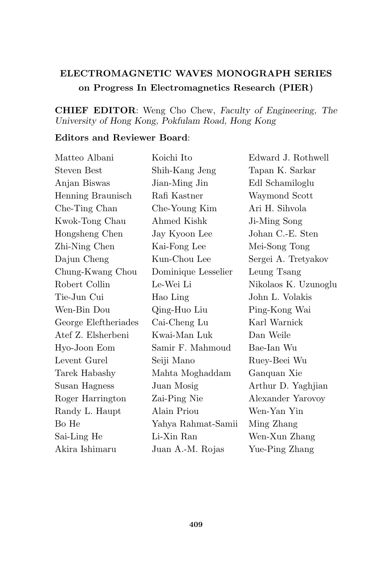## ELECTROMAGNETIC WAVES MONOGRAPH SERIES on Progress In Electromagnetics Research (PIER)

## CHIEF EDITOR: Weng Cho Chew, Faculty of Engineering, The University of Hong Kong, Pokfulam Road, Hong Kong

## Editors and Reviewer Board:

| Matteo Albani        | Koichi Ito          | Edward J. Rothwell   |
|----------------------|---------------------|----------------------|
| <b>Steven Best</b>   | Shih-Kang Jeng      | Tapan K. Sarkar      |
| Anjan Biswas         | Jian-Ming Jin       | Edl Schamiloglu      |
| Henning Braunisch    | Rafi Kastner        | Waymond Scott        |
| Che-Ting Chan        | Che-Young Kim       | Ari H. Sihvola       |
| Kwok-Tong Chau       | Ahmed Kishk         | Ji-Ming Song         |
| Hongsheng Chen       | Jay Kyoon Lee       | Johan C.-E. Sten     |
| Zhi-Ning Chen        | Kai-Fong Lee        | Mei-Song Tong        |
| Dajun Cheng          | Kun-Chou Lee        | Sergei A. Tretyakov  |
| Chung-Kwang Chou     | Dominique Lesselier | Leung Tsang          |
| Robert Collin        | Le-Wei Li           | Nikolaos K. Uzunoglu |
| Tie-Jun Cui          | Hao Ling            | John L. Volakis      |
| Wen-Bin Dou          | Qing-Huo Liu        | Ping-Kong Wai        |
| George Eleftheriades | Cai-Cheng Lu        | Karl Warnick         |
| Atef Z. Elsherbeni   | Kwai-Man Luk        | Dan Weile            |
| Hyo-Joon Eom         | Samir F. Mahmoud    | Bae-Ian Wu           |
| Levent Gurel         | Seiji Mano          | Ruey-Beei Wu         |
| Tarek Habashy        | Mahta Moghaddam     | Ganquan Xie          |
| Susan Hagness        | Juan Mosig          | Arthur D. Yaghjian   |
| Roger Harrington     | Zai-Ping Nie        | Alexander Yarovoy    |
| Randy L. Haupt       | Alain Priou         | Wen-Yan Yin          |
| Bo He                | Yahya Rahmat-Samii  | Ming Zhang           |
| Sai-Ling He          | Li-Xin Ran          | Wen-Xun Zhang        |
| Akira Ishimaru       | Juan A.-M. Rojas    | Yue-Ping Zhang       |
|                      |                     |                      |